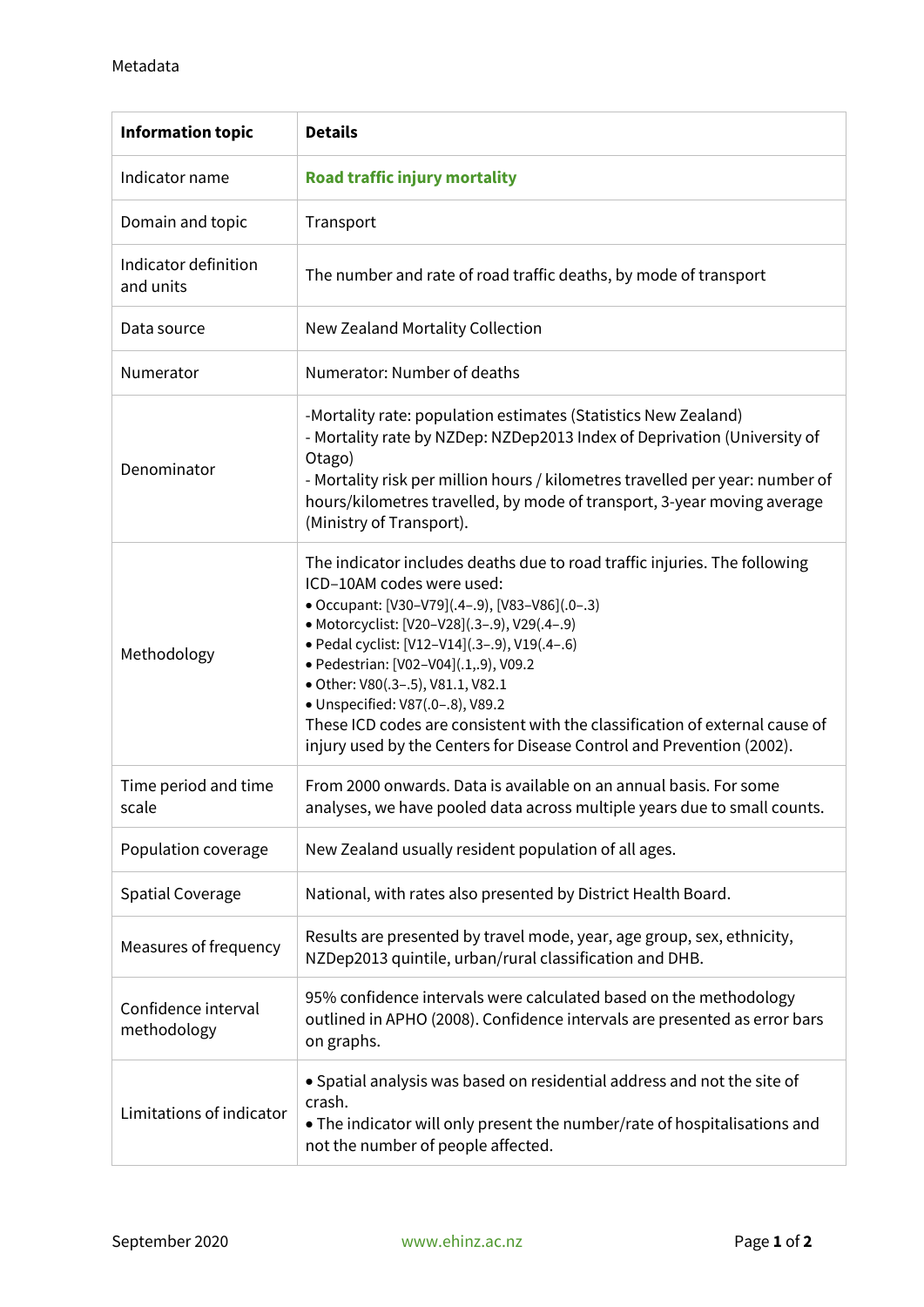| <b>Information topic</b>           | <b>Details</b>                                                                                                                                                                                                                                                                                                                                                                                                                                                                                                                      |
|------------------------------------|-------------------------------------------------------------------------------------------------------------------------------------------------------------------------------------------------------------------------------------------------------------------------------------------------------------------------------------------------------------------------------------------------------------------------------------------------------------------------------------------------------------------------------------|
| Indicator name                     | <b>Road traffic injury mortality</b>                                                                                                                                                                                                                                                                                                                                                                                                                                                                                                |
| Domain and topic                   | Transport                                                                                                                                                                                                                                                                                                                                                                                                                                                                                                                           |
| Indicator definition<br>and units  | The number and rate of road traffic deaths, by mode of transport                                                                                                                                                                                                                                                                                                                                                                                                                                                                    |
| Data source                        | New Zealand Mortality Collection                                                                                                                                                                                                                                                                                                                                                                                                                                                                                                    |
| Numerator                          | Numerator: Number of deaths                                                                                                                                                                                                                                                                                                                                                                                                                                                                                                         |
| Denominator                        | -Mortality rate: population estimates (Statistics New Zealand)<br>- Mortality rate by NZDep: NZDep2013 Index of Deprivation (University of<br>Otago)<br>- Mortality risk per million hours / kilometres travelled per year: number of<br>hours/kilometres travelled, by mode of transport, 3-year moving average<br>(Ministry of Transport).                                                                                                                                                                                        |
| Methodology                        | The indicator includes deaths due to road traffic injuries. The following<br>ICD-10AM codes were used:<br>• Occupant: [V30-V79](.4-.9), [V83-V86](.0-.3)<br>• Motorcyclist: [V20-V28](.3-.9), V29(.4-.9)<br>· Pedal cyclist: [V12-V14](.3-.9), V19(.4-.6)<br>· Pedestrian: [V02-V04](.1,.9), V09.2<br>· Other: V80(.3-.5), V81.1, V82.1<br>· Unspecified: V87(.0-.8), V89.2<br>These ICD codes are consistent with the classification of external cause of<br>injury used by the Centers for Disease Control and Prevention (2002). |
| Time period and time<br>scale      | From 2000 onwards. Data is available on an annual basis. For some<br>analyses, we have pooled data across multiple years due to small counts.                                                                                                                                                                                                                                                                                                                                                                                       |
| Population coverage                | New Zealand usually resident population of all ages.                                                                                                                                                                                                                                                                                                                                                                                                                                                                                |
| <b>Spatial Coverage</b>            | National, with rates also presented by District Health Board.                                                                                                                                                                                                                                                                                                                                                                                                                                                                       |
| Measures of frequency              | Results are presented by travel mode, year, age group, sex, ethnicity,<br>NZDep2013 quintile, urban/rural classification and DHB.                                                                                                                                                                                                                                                                                                                                                                                                   |
| Confidence interval<br>methodology | 95% confidence intervals were calculated based on the methodology<br>outlined in APHO (2008). Confidence intervals are presented as error bars<br>on graphs.                                                                                                                                                                                                                                                                                                                                                                        |
| Limitations of indicator           | • Spatial analysis was based on residential address and not the site of<br>crash.<br>• The indicator will only present the number/rate of hospitalisations and<br>not the number of people affected.                                                                                                                                                                                                                                                                                                                                |